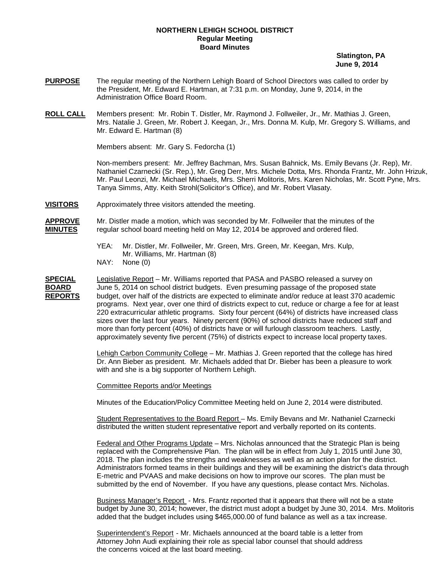## **NORTHERN LEHIGH SCHOOL DISTRICT Regular Meeting Board Minutes**

 **Slatington, PA June 9, 2014**

- **PURPOSE** The regular meeting of the Northern Lehigh Board of School Directors was called to order by the President, Mr. Edward E. Hartman, at 7:31 p.m. on Monday, June 9, 2014, in the Administration Office Board Room.
- **ROLL CALL** Mrs. Natalie J. Green, Mr. Robert J. Keegan, Jr., Mrs. Donna M. Kulp, Mr. Gregory S. Williams, and Mr. Edward E. Hartman (8) Members present: Mr. Robin T. Distler, Mr. Raymond J. Follweiler, Jr., Mr. Mathias J. Green,

Members absent: Mr. Gary S. Fedorcha (1)

Non-members present: Mr. Jeffrey Bachman, Mrs. Susan Bahnick, Ms. Emily Bevans (Jr. Rep), Mr. Nathaniel Czarnecki (Sr. Rep.), Mr. Greg Derr, Mrs. Michele Dotta, Mrs. Rhonda Frantz, Mr. John Hrizuk, Mr. Paul Leonzi, Mr. Michael Michaels, Mrs. Sherri Molitoris, Mrs. Karen Nicholas, Mr. Scott Pyne, Mrs. Tanya Simms, Atty. Keith Strohl(Solicitor's Office), and Mr. Robert Vlasaty.

**VISITORS** Approximately three visitors attended the meeting.

**APPROVE** Mr. Distler made a motion, which was seconded by Mr. Follweiler that the minutes of the regular school board meeting held on May 12, 2014 be approved and ordered filed.

- YEA: Mr. Distler, Mr. Follweiler, Mr. Green, Mrs. Green, Mr. Keegan, Mrs. Kulp, Mr. Williams, Mr. Hartman (8)
- NAY: None (0)

**SPECIAL** Legislative Report – Mr. Williams reported that PASA and PASBO released a survey on **BOARD** June 5, 2014 on school district budgets. Even presuming passage of the proposed state **REPORTS** budget, over half of the districts are expected to eliminate and/or reduce at least 370 academic programs. Next year, over one third of districts expect to cut, reduce or charge a fee for at least 220 extracurricular athletic programs. Sixty four percent (64%) of districts have increased class sizes over the last four years. Ninety percent (90%) of school districts have reduced staff and more than forty percent (40%) of districts have or will furlough classroom teachers. Lastly, approximately seventy five percent (75%) of districts expect to increase local property taxes.

> <u>Lehigh Carbon Community College</u> – Mr. Mathias J. Green reported that the college has hired Dr. Ann Bieber as president. Mr. Michaels added that Dr. Bieber has been a pleasure to work with and she is a big supporter of Northern Lehigh.

Committee Reports and/or Meetings

Minutes of the Education/Policy Committee Meeting held on June 2, 2014 were distributed.

Student Representatives to the Board Report – Ms. Emily Bevans and Mr. Nathaniel Czarnecki distributed the written student representative report and verbally reported on its contents.

<u>Federal and Other Programs Update</u> – Mrs. Nicholas announced that the Strategic Plan is being replaced with the Comprehensive Plan. The plan will be in effect from July 1, 2015 until June 30, 2018. The plan includes the strengths and weaknesses as well as an action plan for the district. Administrators formed teams in their buildings and they will be examining the district's data through E-metric and PVAAS and make decisions on how to improve our scores. The plan must be submitted by the end of November. If you have any questions, please contact Mrs. Nicholas.

Business Manager's Report - Mrs. Frantz reported that it appears that there will not be a state budget by June 30, 2014; however, the district must adopt a budget by June 30, 2014. Mrs. Molitoris added that the budget includes using \$465,000.00 of fund balance as well as a tax increase.

Superintendent's Report - Mr. Michaels announced at the board table is a letter from Attorney John Audi explaining their role as special labor counsel that should address the concerns voiced at the last board meeting.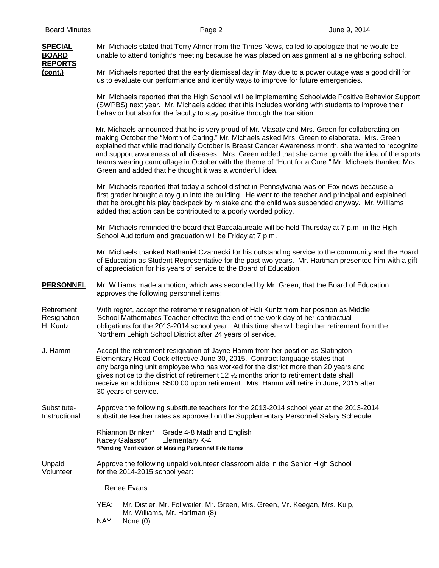## **SPECIAL** Mr. Michaels stated that Terry Ahner from the Times News, called to apologize that he would be **BOARD** unable to attend tonight's meeting because he was placed on assignment at a neighboring school. **REPORTS (cont.)** Mr. Michaels reported that the early dismissal day in May due to a power outage was a good drill for us to evaluate our performance and identify ways to improve for future emergencies. Mr. Michaels reported that the High School will be implementing Schoolwide Positive Behavior Support (SWPBS) next year. Mr. Michaels added that this includes working with students to improve their behavior but also for the faculty to stay positive through the transition. Mr. Michaels announced that he is very proud of Mr. Vlasaty and Mrs. Green for collaborating on making October the "Month of Caring." Mr. Michaels asked Mrs. Green to elaborate. Mrs. Green explained that while traditionally October is Breast Cancer Awareness month, she wanted to recognize and support awareness of all diseases. Mrs. Green added that she came up with the idea of the sports teams wearing camouflage in October with the theme of "Hunt for a Cure." Mr. Michaels thanked Mrs. Green and added that he thought it was a wonderful idea. Mr. Michaels reported that today a school district in Pennsylvania was on Fox news because a first grader brought a toy gun into the building. He went to the teacher and principal and explained that he brought his play backpack by mistake and the child was suspended anyway. Mr. Williams added that action can be contributed to a poorly worded policy. Mr. Michaels reminded the board that Baccalaureate will be held Thursday at 7 p.m. in the High School Auditorium and graduation will be Friday at 7 p.m. Mr. Michaels thanked Nathaniel Czarnecki for his outstanding service to the community and the Board of Education as Student Representative for the past two years. Mr. Hartman presented him with a gift of appreciation for his years of service to the Board of Education. **PERSONNEL** Mr. Williams made a motion, which was seconded by Mr. Green, that the Board of Education approves the following personnel items: Retirement With regret, accept the retirement resignation of Hali Kuntz from her position as Middle Resignation School Mathematics Teacher effective the end of the work day of her contractual H. Kuntz obligations for the 2013-2014 school year. At this time she will begin her retirement from the Northern Lehigh School District after 24 years of service. J. Hamm Accept the retirement resignation of Jayne Hamm from her position as Slatington Elementary Head Cook effective June 30, 2015. Contract language states that any bargaining unit employee who has worked for the district more than 20 years and gives notice to the district of retirement 12 ½ months prior to retirement date shall receive an additional \$500.00 upon retirement. Mrs. Hamm will retire in June, 2015 after 30 years of service. Substitute- Approve the following substitute teachers for the 2013-2014 school year at the 2013-2014 Instructional substitute teacher rates as approved on the Supplementary Personnel Salary Schedule: Rhiannon Brinker\* Grade 4-8 Math and English Kacey Galasso\* Elementary K-4 **\*Pending Verification of Missing Personnel File Items** Unpaid Approve the following unpaid volunteer classroom aide in the Senior High School Volunteer for the 2014-2015 school year: Renee Evans YEA: Mr. Distler, Mr. Follweiler, Mr. Green, Mrs. Green, Mr. Keegan, Mrs. Kulp, Mr. Williams, Mr. Hartman (8)

NAY: None (0)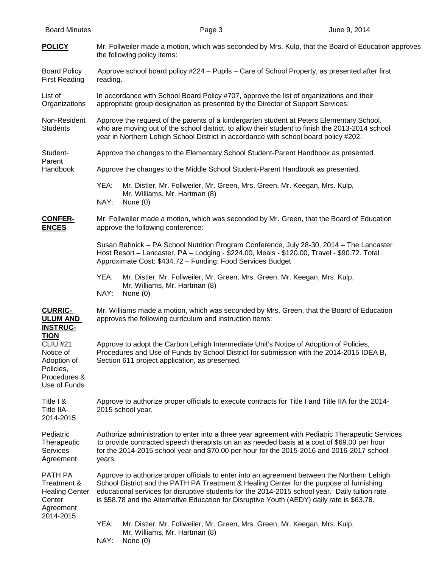| <b>Board Minutes</b>                                                                                    |                                                                                                                                                                                                                                                                                                                                                                                           |                                                                                                                                                                                                                                                       | Page 3 |  | June 9, 2014 |  |
|---------------------------------------------------------------------------------------------------------|-------------------------------------------------------------------------------------------------------------------------------------------------------------------------------------------------------------------------------------------------------------------------------------------------------------------------------------------------------------------------------------------|-------------------------------------------------------------------------------------------------------------------------------------------------------------------------------------------------------------------------------------------------------|--------|--|--------------|--|
| <b>POLICY</b>                                                                                           | Mr. Follweiler made a motion, which was seconded by Mrs. Kulp, that the Board of Education approves<br>the following policy items:                                                                                                                                                                                                                                                        |                                                                                                                                                                                                                                                       |        |  |              |  |
| <b>Board Policy</b><br><b>First Reading</b>                                                             | Approve school board policy #224 - Pupils - Care of School Property, as presented after first<br>reading.                                                                                                                                                                                                                                                                                 |                                                                                                                                                                                                                                                       |        |  |              |  |
| List of<br>Organizations                                                                                | In accordance with School Board Policy #707, approve the list of organizations and their<br>appropriate group designation as presented by the Director of Support Services.                                                                                                                                                                                                               |                                                                                                                                                                                                                                                       |        |  |              |  |
| Non-Resident<br><b>Students</b>                                                                         | Approve the request of the parents of a kindergarten student at Peters Elementary School,<br>who are moving out of the school district, to allow their student to finish the 2013-2014 school<br>year in Northern Lehigh School District in accordance with school board policy #202.                                                                                                     |                                                                                                                                                                                                                                                       |        |  |              |  |
| Student-<br>Parent<br>Handbook                                                                          |                                                                                                                                                                                                                                                                                                                                                                                           | Approve the changes to the Elementary School Student-Parent Handbook as presented.                                                                                                                                                                    |        |  |              |  |
|                                                                                                         | Approve the changes to the Middle School Student-Parent Handbook as presented.                                                                                                                                                                                                                                                                                                            |                                                                                                                                                                                                                                                       |        |  |              |  |
|                                                                                                         | YEA:<br>NAY:                                                                                                                                                                                                                                                                                                                                                                              | Mr. Distler, Mr. Follweiler, Mr. Green, Mrs. Green, Mr. Keegan, Mrs. Kulp,<br>Mr. Williams, Mr. Hartman (8)<br>None $(0)$                                                                                                                             |        |  |              |  |
| <b>CONFER-</b><br><b>ENCES</b>                                                                          |                                                                                                                                                                                                                                                                                                                                                                                           | Mr. Follweiler made a motion, which was seconded by Mr. Green, that the Board of Education<br>approve the following conference:                                                                                                                       |        |  |              |  |
|                                                                                                         |                                                                                                                                                                                                                                                                                                                                                                                           | Susan Bahnick - PA School Nutrition Program Conference, July 28-30, 2014 - The Lancaster<br>Host Resort - Lancaster, PA - Lodging - \$224.00, Meals - \$120.00, Travel - \$90.72. Total<br>Approximate Cost: \$434.72 - Funding: Food Services Budget |        |  |              |  |
|                                                                                                         | YEA:<br>NAY:                                                                                                                                                                                                                                                                                                                                                                              | Mr. Distler, Mr. Follweiler, Mr. Green, Mrs. Green, Mr. Keegan, Mrs. Kulp,<br>Mr. Williams, Mr. Hartman (8)<br>None $(0)$                                                                                                                             |        |  |              |  |
| <b>CURRIC-</b><br><b>ULUM AND</b><br><b>INSTRUC-</b>                                                    | Mr. Williams made a motion, which was seconded by Mrs. Green, that the Board of Education<br>approves the following curriculum and instruction items:                                                                                                                                                                                                                                     |                                                                                                                                                                                                                                                       |        |  |              |  |
| <b>TION</b><br><b>CLIU #21</b><br>Notice of<br>Adoption of<br>Policies,<br>Procedures &<br>Use of Funds | Approve to adopt the Carbon Lehigh Intermediate Unit's Notice of Adoption of Policies,<br>Procedures and Use of Funds by School District for submission with the 2014-2015 IDEA B,<br>Section 611 project application, as presented.                                                                                                                                                      |                                                                                                                                                                                                                                                       |        |  |              |  |
| Title I &<br>Title IIA-<br>2014-2015                                                                    | Approve to authorize proper officials to execute contracts for Title I and Title IIA for the 2014-<br>2015 school year.                                                                                                                                                                                                                                                                   |                                                                                                                                                                                                                                                       |        |  |              |  |
| Pediatric<br>Therapeutic<br><b>Services</b><br>Agreement                                                | Authorize administration to enter into a three year agreement with Pediatric Therapeutic Services<br>to provide contracted speech therapists on an as needed basis at a cost of \$69.00 per hour<br>for the 2014-2015 school year and \$70.00 per hour for the 2015-2016 and 2016-2017 school<br>years.                                                                                   |                                                                                                                                                                                                                                                       |        |  |              |  |
| PATH PA<br>Treatment &<br><b>Healing Center</b><br>Center<br>Agreement<br>2014-2015                     | Approve to authorize proper officials to enter into an agreement between the Northern Lehigh<br>School District and the PATH PA Treatment & Healing Center for the purpose of furnishing<br>educational services for disruptive students for the 2014-2015 school year. Daily tuition rate<br>is \$58.78 and the Alternative Education for Disruptive Youth (AEDY) daily rate is \$63.78. |                                                                                                                                                                                                                                                       |        |  |              |  |
|                                                                                                         | YEA:<br>NAY:                                                                                                                                                                                                                                                                                                                                                                              | Mr. Distler, Mr. Follweiler, Mr. Green, Mrs. Green, Mr. Keegan, Mrs. Kulp,<br>Mr. Williams, Mr. Hartman (8)<br>None $(0)$                                                                                                                             |        |  |              |  |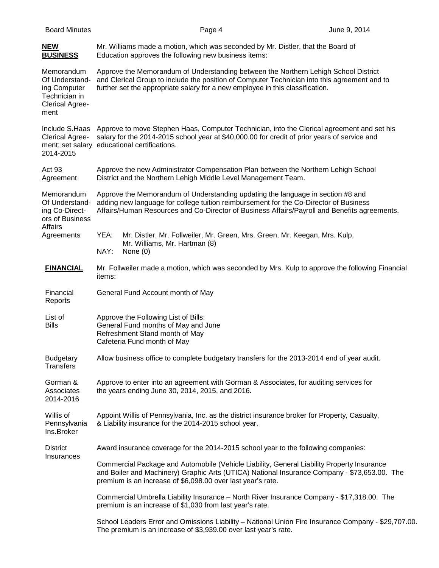| <b>Board Minutes</b>                                                                            | Page 4                                                                                                                                                                                                                                                                   | June 9, 2014 |  |  |  |  |  |
|-------------------------------------------------------------------------------------------------|--------------------------------------------------------------------------------------------------------------------------------------------------------------------------------------------------------------------------------------------------------------------------|--------------|--|--|--|--|--|
| <u>NEW</u><br><b>BUSINESS</b>                                                                   | Mr. Williams made a motion, which was seconded by Mr. Distler, that the Board of<br>Education approves the following new business items:                                                                                                                                 |              |  |  |  |  |  |
| Memorandum<br>Of Understand-<br>ing Computer<br>Technician in<br><b>Clerical Agree-</b><br>ment | Approve the Memorandum of Understanding between the Northern Lehigh School District<br>and Clerical Group to include the position of Computer Technician into this agreement and to<br>further set the appropriate salary for a new employee in this classification.     |              |  |  |  |  |  |
| Include S.Haas<br><b>Clerical Agree-</b><br>2014-2015                                           | Approve to move Stephen Haas, Computer Technician, into the Clerical agreement and set his<br>salary for the 2014-2015 school year at \$40,000.00 for credit of prior years of service and<br>ment; set salary educational certifications.                               |              |  |  |  |  |  |
| Act 93<br>Agreement                                                                             | Approve the new Administrator Compensation Plan between the Northern Lehigh School<br>District and the Northern Lehigh Middle Level Management Team.                                                                                                                     |              |  |  |  |  |  |
| Memorandum<br>Of Understand-<br>ing Co-Direct-<br>ors of Business<br><b>Affairs</b>             | Approve the Memorandum of Understanding updating the language in section #8 and<br>adding new language for college tuition reimbursement for the Co-Director of Business<br>Affairs/Human Resources and Co-Director of Business Affairs/Payroll and Benefits agreements. |              |  |  |  |  |  |
| Agreements                                                                                      | YEA:<br>Mr. Distler, Mr. Follweiler, Mr. Green, Mrs. Green, Mr. Keegan, Mrs. Kulp,<br>Mr. Williams, Mr. Hartman (8)<br>NAY:<br>None $(0)$                                                                                                                                |              |  |  |  |  |  |
| <b>FINANCIAL</b>                                                                                | Mr. Follweiler made a motion, which was seconded by Mrs. Kulp to approve the following Financial<br>items:                                                                                                                                                               |              |  |  |  |  |  |
| Financial<br>Reports                                                                            | General Fund Account month of May                                                                                                                                                                                                                                        |              |  |  |  |  |  |
| List of<br><b>Bills</b>                                                                         | Approve the Following List of Bills:<br>General Fund months of May and June<br>Refreshment Stand month of May<br>Cafeteria Fund month of May                                                                                                                             |              |  |  |  |  |  |
| <b>Budgetary</b><br><b>Transfers</b>                                                            | Allow business office to complete budgetary transfers for the 2013-2014 end of year audit.                                                                                                                                                                               |              |  |  |  |  |  |
| Gorman &<br>Associates<br>2014-2016                                                             | Approve to enter into an agreement with Gorman & Associates, for auditing services for<br>the years ending June 30, 2014, 2015, and 2016.                                                                                                                                |              |  |  |  |  |  |
| Willis of<br>Pennsylvania<br>Ins.Broker                                                         | Appoint Willis of Pennsylvania, Inc. as the district insurance broker for Property, Casualty,<br>& Liability insurance for the 2014-2015 school year.                                                                                                                    |              |  |  |  |  |  |
| <b>District</b><br>Insurances                                                                   | Award insurance coverage for the 2014-2015 school year to the following companies:                                                                                                                                                                                       |              |  |  |  |  |  |
|                                                                                                 | Commercial Package and Automobile (Vehicle Liability, General Liability Property Insurance<br>and Boiler and Machinery) Graphic Arts (UTICA) National Insurance Company - \$73,653.00. The<br>premium is an increase of \$6,098.00 over last year's rate.                |              |  |  |  |  |  |
|                                                                                                 | Commercial Umbrella Liability Insurance - North River Insurance Company - \$17,318.00. The<br>premium is an increase of \$1,030 from last year's rate.                                                                                                                   |              |  |  |  |  |  |
|                                                                                                 | School Leaders Error and Omissions Liability - National Union Fire Insurance Company - \$29,707.00.<br>The premium is an increase of \$3,939.00 over last year's rate.                                                                                                   |              |  |  |  |  |  |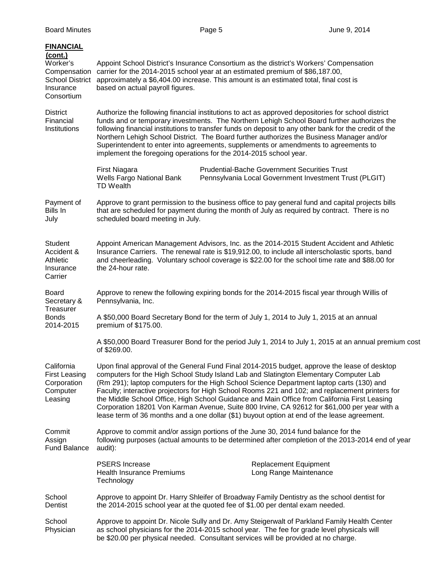| <b>FINANCIAL</b><br>$($ cont. $)$<br>Worker's<br>Compensation<br><b>School District</b><br>Insurance<br>Consortium | Appoint School District's Insurance Consortium as the district's Workers' Compensation<br>carrier for the 2014-2015 school year at an estimated premium of \$86,187.00,<br>approximately a \$6,404.00 increase. This amount is an estimated total, final cost is<br>based on actual payroll figures.                                                                                                                                                                                                                                                                                                                                                                                |  |  |  |  |  |
|--------------------------------------------------------------------------------------------------------------------|-------------------------------------------------------------------------------------------------------------------------------------------------------------------------------------------------------------------------------------------------------------------------------------------------------------------------------------------------------------------------------------------------------------------------------------------------------------------------------------------------------------------------------------------------------------------------------------------------------------------------------------------------------------------------------------|--|--|--|--|--|
| <b>District</b><br>Financial<br>Institutions                                                                       | Authorize the following financial institutions to act as approved depositories for school district<br>funds and or temporary investments. The Northern Lehigh School Board further authorizes the<br>following financial institutions to transfer funds on deposit to any other bank for the credit of the<br>Northern Lehigh School District. The Board further authorizes the Business Manager and/or<br>Superintendent to enter into agreements, supplements or amendments to agreements to<br>implement the foregoing operations for the 2014-2015 school year.                                                                                                                 |  |  |  |  |  |
|                                                                                                                    | <b>Prudential-Bache Government Securities Trust</b><br>First Niagara<br>Wells Fargo National Bank<br>Pennsylvania Local Government Investment Trust (PLGIT)<br><b>TD Wealth</b>                                                                                                                                                                                                                                                                                                                                                                                                                                                                                                     |  |  |  |  |  |
| Payment of<br>Bills In<br>July                                                                                     | Approve to grant permission to the business office to pay general fund and capital projects bills<br>that are scheduled for payment during the month of July as required by contract. There is no<br>scheduled board meeting in July.                                                                                                                                                                                                                                                                                                                                                                                                                                               |  |  |  |  |  |
| Student<br>Accident &<br>Athletic<br>Insurance<br>Carrier                                                          | Appoint American Management Advisors, Inc. as the 2014-2015 Student Accident and Athletic<br>Insurance Carriers. The renewal rate is \$19,912.00, to include all interscholastic sports, band<br>and cheerleading. Voluntary school coverage is \$22.00 for the school time rate and \$88.00 for<br>the 24-hour rate.                                                                                                                                                                                                                                                                                                                                                               |  |  |  |  |  |
| Board<br>Secretary &<br>Treasurer<br><b>Bonds</b><br>2014-2015                                                     | Approve to renew the following expiring bonds for the 2014-2015 fiscal year through Willis of<br>Pennsylvania, Inc.                                                                                                                                                                                                                                                                                                                                                                                                                                                                                                                                                                 |  |  |  |  |  |
|                                                                                                                    | A \$50,000 Board Secretary Bond for the term of July 1, 2014 to July 1, 2015 at an annual<br>premium of \$175.00.                                                                                                                                                                                                                                                                                                                                                                                                                                                                                                                                                                   |  |  |  |  |  |
|                                                                                                                    | A \$50,000 Board Treasurer Bond for the period July 1, 2014 to July 1, 2015 at an annual premium cost<br>of \$269.00.                                                                                                                                                                                                                                                                                                                                                                                                                                                                                                                                                               |  |  |  |  |  |
| California<br><b>First Leasing</b><br>Corporation<br>Computer<br>Leasing                                           | Upon final approval of the General Fund Final 2014-2015 budget, approve the lease of desktop<br>computers for the High School Study Island Lab and Slatington Elementary Computer Lab<br>(Rm 291); laptop computers for the High School Science Department laptop carts (130) and<br>Faculty; interactive projectors for High School Rooms 221 and 102; and replacement printers for<br>the Middle School Office, High School Guidance and Main Office from California First Leasing<br>Corporation 18201 Von Karman Avenue, Suite 800 Irvine, CA 92612 for \$61,000 per year with a<br>lease term of 36 months and a one dollar (\$1) buyout option at end of the lease agreement. |  |  |  |  |  |
| Commit<br>Assign<br><b>Fund Balance</b>                                                                            | Approve to commit and/or assign portions of the June 30, 2014 fund balance for the<br>following purposes (actual amounts to be determined after completion of the 2013-2014 end of year<br>audit):                                                                                                                                                                                                                                                                                                                                                                                                                                                                                  |  |  |  |  |  |
|                                                                                                                    | <b>PSERS</b> Increase<br><b>Replacement Equipment</b><br>Health Insurance Premiums<br>Long Range Maintenance<br>Technology                                                                                                                                                                                                                                                                                                                                                                                                                                                                                                                                                          |  |  |  |  |  |
| School<br>Dentist                                                                                                  | Approve to appoint Dr. Harry Shleifer of Broadway Family Dentistry as the school dentist for<br>the 2014-2015 school year at the quoted fee of \$1.00 per dental exam needed.                                                                                                                                                                                                                                                                                                                                                                                                                                                                                                       |  |  |  |  |  |
| School<br>Physician                                                                                                | Approve to appoint Dr. Nicole Sully and Dr. Amy Steigerwalt of Parkland Family Health Center<br>as school physicians for the 2014-2015 school year. The fee for grade level physicals will<br>be \$20.00 per physical needed. Consultant services will be provided at no charge.                                                                                                                                                                                                                                                                                                                                                                                                    |  |  |  |  |  |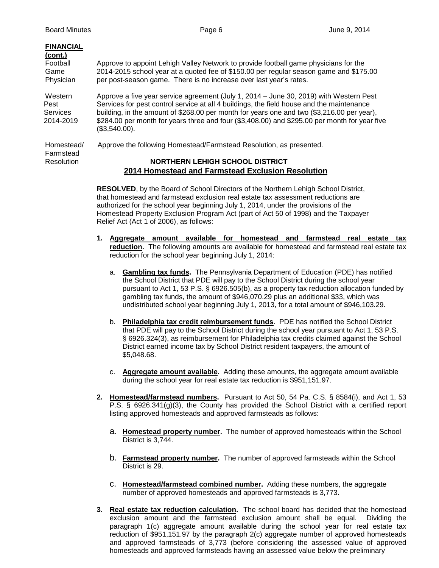| <b>FINANCIAL</b> |                                                                                               |
|------------------|-----------------------------------------------------------------------------------------------|
| (cont.)          |                                                                                               |
| Football         | Approve to appoint Lehigh Valley Network to provide football game physicians for the          |
| Game             | 2014-2015 school year at a quoted fee of \$150.00 per regular season game and \$175.00        |
| Physician        | per post-season game. There is no increase over last year's rates.                            |
|                  |                                                                                               |
| Western          | Approve a five year service agreement (July 1, 2014 – June 30, 2019) with Western Pest        |
| Pest             | Services for pest control service at all 4 buildings, the field house and the maintenance     |
| Services         | building, in the amount of \$268.00 per month for years one and two (\$3,216.00 per year),    |
| 2014-2019        | \$284.00 per month for years three and four (\$3,408.00) and \$295.00 per month for year five |
|                  | $(S3.540.00)$ .                                                                               |
| Homestead/       | Approve the following Homestead/Farmstead Resolution, as presented.                           |
| Farmstead        |                                                                                               |
| Resolution       | <b>NORTHERN LEHIGH SCHOOL DISTRICT</b>                                                        |
|                  |                                                                                               |
|                  | 2014 Homestead and Farmstead Exclusion Resolution                                             |

**RESOLVED**, by the Board of School Directors of the Northern Lehigh School District, that homestead and farmstead exclusion real estate tax assessment reductions are authorized for the school year beginning July 1, 2014, under the provisions of the Homestead Property Exclusion Program Act (part of Act 50 of 1998) and the Taxpayer Relief Act (Act 1 of 2006), as follows:

- **1. Aggregate amount available for homestead and farmstead real estate tax**  reduction. The following amounts are available for homestead and farmstead real estate tax reduction for the school year beginning July 1, 2014:
	- a. **Gambling tax funds.** The Pennsylvania Department of Education (PDE) has notified the School District that PDE will pay to the School District during the school year pursuant to Act 1, 53 P.S. § 6926.505(b), as a property tax reduction allocation funded by gambling tax funds, the amount of \$946,070.29 plus an additional \$33, which was undistributed school year beginning July 1, 2013, for a total amount of \$946,103.29.
	- b. **Philadelphia tax credit reimbursement funds**. PDE has notified the School District that PDE will pay to the School District during the school year pursuant to Act 1, 53 P.S. § 6926.324(3), as reimbursement for Philadelphia tax credits claimed against the School District earned income tax by School District resident taxpayers, the amount of \$5,048.68.
	- c. **Aggregate amount available.** Adding these amounts, the aggregate amount available during the school year for real estate tax reduction is \$951,151.97.
- **2. Homestead/farmstead numbers.** Pursuant to Act 50, 54 Pa. C.S. § 8584(i), and Act 1, 53 P.S. § 6926.341(g)(3), the County has provided the School District with a certified report listing approved homesteads and approved farmsteads as follows:
	- a. **Homestead property number.** The number of approved homesteads within the School District is 3,744.
	- b. **Farmstead property number.** The number of approved farmsteads within the School District is 29.
	- c. **Homestead/farmstead combined number.** Adding these numbers, the aggregate number of approved homesteads and approved farmsteads is 3,773.
- **3. Real estate tax reduction calculation.** The school board has decided that the homestead exclusion amount and the farmstead exclusion amount shall be equal. Dividing the paragraph 1(c) aggregate amount available during the school year for real estate tax reduction of \$951,151.97 by the paragraph 2(c) aggregate number of approved homesteads and approved farmsteads of 3,773 (before considering the assessed value of approved homesteads and approved farmsteads having an assessed value below the preliminary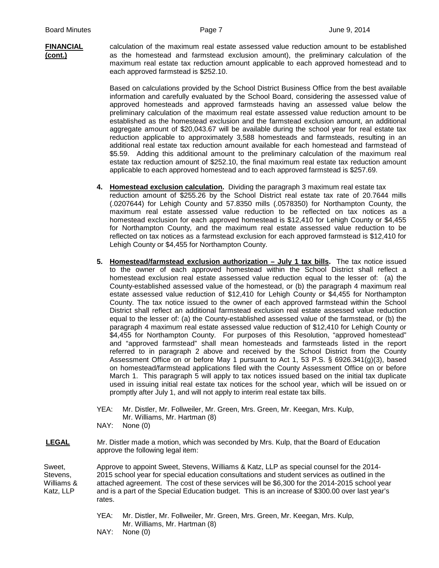**FINANCIAL** calculation of the maximum real estate assessed value reduction amount to be established **(cont.)** as the homestead and farmstead exclusion amount), the preliminary calculation of the maximum real estate tax reduction amount applicable to each approved homestead and to each approved farmstead is \$252.10.

> Based on calculations provided by the School District Business Office from the best available information and carefully evaluated by the School Board, considering the assessed value of approved homesteads and approved farmsteads having an assessed value below the preliminary calculation of the maximum real estate assessed value reduction amount to be established as the homestead exclusion and the farmstead exclusion amount, an additional aggregate amount of \$20,043.67 will be available during the school year for real estate tax reduction applicable to approximately 3,588 homesteads and farmsteads, resulting in an additional real estate tax reduction amount available for each homestead and farmstead of \$5.59. Adding this additional amount to the preliminary calculation of the maximum real estate tax reduction amount of \$252.10, the final maximum real estate tax reduction amount applicable to each approved homestead and to each approved farmstead is \$257.69.

- **4. Homestead exclusion calculation.** Dividing the paragraph 3 maximum real estate tax reduction amount of \$255.26 by the School District real estate tax rate of 20.7644 mills (.0207644) for Lehigh County and 57.8350 mills (.0578350) for Northampton County, the maximum real estate assessed value reduction to be reflected on tax notices as a homestead exclusion for each approved homestead is \$12,410 for Lehigh County or \$4,455 for Northampton County, and the maximum real estate assessed value reduction to be reflected on tax notices as a farmstead exclusion for each approved farmstead is \$12,410 for Lehigh County or \$4,455 for Northampton County.
- **5. Homestead/farmstead exclusion authorization – July 1 tax bills.** The tax notice issued to the owner of each approved homestead within the School District shall reflect a homestead exclusion real estate assessed value reduction equal to the lesser of: (a) the County-established assessed value of the homestead, or (b) the paragraph 4 maximum real estate assessed value reduction of \$12,410 for Lehigh County or \$4,455 for Northampton County. The tax notice issued to the owner of each approved farmstead within the School District shall reflect an additional farmstead exclusion real estate assessed value reduction equal to the lesser of: (a) the County-established assessed value of the farmstead, or (b) the paragraph 4 maximum real estate assessed value reduction of \$12,410 for Lehigh County or \$4,455 for Northampton County. For purposes of this Resolution, "approved homestead" and "approved farmstead" shall mean homesteads and farmsteads listed in the report referred to in paragraph 2 above and received by the School District from the County Assessment Office on or before May 1 pursuant to Act 1, 53 P.S. § 6926.341(g)(3), based on homestead/farmstead applications filed with the County Assessment Office on or before March 1. This paragraph 5 will apply to tax notices issued based on the initial tax duplicate used in issuing initial real estate tax notices for the school year, which will be issued on or promptly after July 1, and will not apply to interim real estate tax bills.
- YEA: Mr. Distler, Mr. Follweiler, Mr. Green, Mrs. Green, Mr. Keegan, Mrs. Kulp, Mr. Williams, Mr. Hartman (8)

NAY: None (0)

 **LEGAL** Mr. Distler made a motion, which was seconded by Mrs. Kulp, that the Board of Education approve the following legal item:

Sweet, Approve to appoint Sweet, Stevens, Williams & Katz, LLP as special counsel for the 2014-Stevens, 2015 school year for special education consultations and student services as outlined in the Williams & attached agreement. The cost of these services will be \$6,300 for the 2014-2015 school year Katz, LLP and is a part of the Special Education budget. This is an increase of \$300.00 over last year's rates.

> YEA: Mr. Distler, Mr. Follweiler, Mr. Green, Mrs. Green, Mr. Keegan, Mrs. Kulp, Mr. Williams, Mr. Hartman (8)

NAY: None (0)